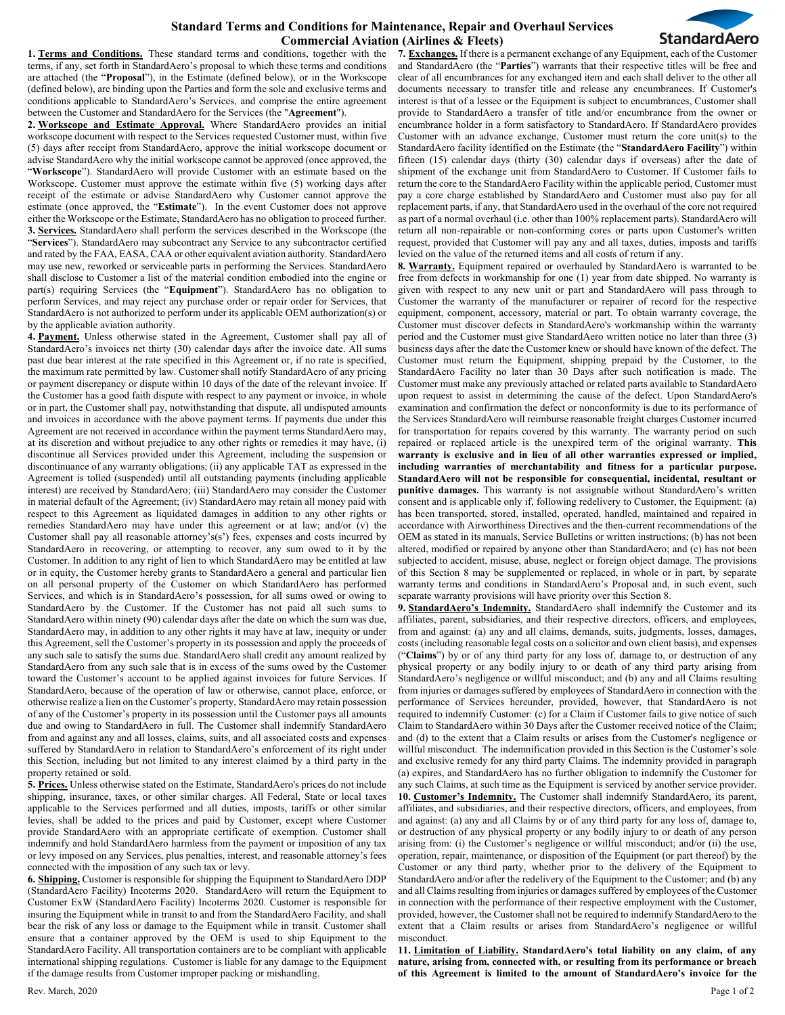## **Standard Terms and Conditions for Maintenance, Repair and Overhaul Services Commercial Aviation (Airlines & Fleets)**



**1. Terms and Conditions.** These standard terms and conditions, together with the terms, if any, set forth in StandardAero's proposal to which these terms and conditions are attached (the "**Proposal**"), in the Estimate (defined below), or in the Workscope (defined below), are binding upon the Parties and form the sole and exclusive terms and conditions applicable to StandardAero's Services, and comprise the entire agreement between the Customer and StandardAero for the Services (the "**Agreement**").

**2. Workscope and Estimate Approval.** Where StandardAero provides an initial workscope document with respect to the Services requested Customer must, within five (5) days after receipt from StandardAero, approve the initial workscope document or advise StandardAero why the initial workscope cannot be approved (once approved, the "**Workscope**"). StandardAero will provide Customer with an estimate based on the Workscope. Customer must approve the estimate within five (5) working days after receipt of the estimate or advise StandardAero why Customer cannot approve the estimate (once approved, the "**Estimate**"). In the event Customer does not approve either the Workscope or the Estimate, StandardAero has no obligation to proceed further. **3. Services.** StandardAero shall perform the services described in the Workscope (the "**Services**"). StandardAero may subcontract any Service to any subcontractor certified and rated by the FAA, EASA, CAA or other equivalent aviation authority. StandardAero may use new, reworked or serviceable parts in performing the Services. StandardAero shall disclose to Customer a list of the material condition embodied into the engine or part(s) requiring Services (the "**Equipment**"). StandardAero has no obligation to perform Services, and may reject any purchase order or repair order for Services, that StandardAero is not authorized to perform under its applicable OEM authorization(s) or by the applicable aviation authority.

**4. Payment.** Unless otherwise stated in the Agreement, Customer shall pay all of StandardAero's invoices net thirty (30) calendar days after the invoice date. All sums past due bear interest at the rate specified in this Agreement or, if no rate is specified, the maximum rate permitted by law. Customer shall notify StandardAero of any pricing or payment discrepancy or dispute within 10 days of the date of the relevant invoice. If the Customer has a good faith dispute with respect to any payment or invoice, in whole or in part, the Customer shall pay, notwithstanding that dispute, all undisputed amounts and invoices in accordance with the above payment terms. If payments due under this Agreement are not received in accordance within the payment terms StandardAero may, at its discretion and without prejudice to any other rights or remedies it may have, (i) discontinue all Services provided under this Agreement, including the suspension or discontinuance of any warranty obligations; (ii) any applicable TAT as expressed in the Agreement is tolled (suspended) until all outstanding payments (including applicable interest) are received by StandardAero; (iii) StandardAero may consider the Customer in material default of the Agreement; (iv) StandardAero may retain all money paid with respect to this Agreement as liquidated damages in addition to any other rights or remedies StandardAero may have under this agreement or at law; and/or (v) the Customer shall pay all reasonable attorney's(s') fees, expenses and costs incurred by StandardAero in recovering, or attempting to recover, any sum owed to it by the Customer. In addition to any right of lien to which StandardAero may be entitled at law or in equity, the Customer hereby grants to StandardAero a general and particular lien on all personal property of the Customer on which StandardAero has performed Services, and which is in StandardAero's possession, for all sums owed or owing to StandardAero by the Customer. If the Customer has not paid all such sums to StandardAero within ninety (90) calendar days after the date on which the sum was due, StandardAero may, in addition to any other rights it may have at law, inequity or under this Agreement, sell the Customer's property in its possession and apply the proceeds of any such sale to satisfy the sums due. StandardAero shall credit any amount realized by StandardAero from any such sale that is in excess of the sums owed by the Customer toward the Customer's account to be applied against invoices for future Services. If StandardAero, because of the operation of law or otherwise, cannot place, enforce, or otherwise realize a lien on the Customer's property, StandardAero may retain possession of any of the Customer's property in its possession until the Customer pays all amounts due and owing to StandardAero in full. The Customer shall indemnify StandardAero from and against any and all losses, claims, suits, and all associated costs and expenses suffered by StandardAero in relation to StandardAero's enforcement of its right under this Section, including but not limited to any interest claimed by a third party in the property retained or sold.

**5. Prices.** Unless otherwise stated on the Estimate, StandardAero's prices do not include shipping, insurance, taxes, or other similar charges. All Federal, State or local taxes applicable to the Services performed and all duties, imposts, tariffs or other similar levies, shall be added to the prices and paid by Customer, except where Customer provide StandardAero with an appropriate certificate of exemption. Customer shall indemnify and hold StandardAero harmless from the payment or imposition of any tax or levy imposed on any Services, plus penalties, interest, and reasonable attorney's fees connected with the imposition of any such tax or levy.

**6. Shipping.** Customer is responsible for shipping the Equipment to StandardAero DDP (StandardAero Facility) Incoterms 2020.StandardAero will return the Equipment to Customer ExW (StandardAero Facility) Incoterms 2020. Customer is responsible for insuring the Equipment while in transit to and from the StandardAero Facility, and shall bear the risk of any loss or damage to the Equipment while in transit. Customer shall ensure that a container approved by the OEM is used to ship Equipment to the StandardAero Facility. All transportation containers are to be compliant with applicable international shipping regulations. Customer is liable for any damage to the Equipment if the damage results from Customer improper packing or mishandling.

**7. Exchanges.** If there is a permanent exchange of any Equipment, each of the Customer and StandardAero (the "**Parties**") warrants that their respective titles will be free and clear of all encumbrances for any exchanged item and each shall deliver to the other all documents necessary to transfer title and release any encumbrances. If Customer's interest is that of a lessee or the Equipment is subject to encumbrances, Customer shall provide to StandardAero a transfer of title and/or encumbrance from the owner or encumbrance holder in a form satisfactory to StandardAero. If StandardAero provides Customer with an advance exchange, Customer must return the core unit(s) to the StandardAero facility identified on the Estimate (the "**StandardAero Facility**") within fifteen (15) calendar days (thirty (30) calendar days if overseas) after the date of shipment of the exchange unit from StandardAero to Customer. If Customer fails to return the core to the StandardAero Facility within the applicable period, Customer must pay a core charge established by StandardAero and Customer must also pay for all replacement parts, if any, that StandardAero used in the overhaul of the core not required as part of a normal overhaul (i.e. other than 100% replacement parts). StandardAero will return all non-repairable or non-conforming cores or parts upon Customer's written request, provided that Customer will pay any and all taxes, duties, imposts and tariffs levied on the value of the returned items and all costs of return if any.

**8. Warranty.** Equipment repaired or overhauled by StandardAero is warranted to be free from defects in workmanship for one (1) year from date shipped. No warranty is given with respect to any new unit or part and StandardAero will pass through to Customer the warranty of the manufacturer or repairer of record for the respective equipment, component, accessory, material or part. To obtain warranty coverage, the Customer must discover defects in StandardAero's workmanship within the warranty period and the Customer must give StandardAero written notice no later than three (3) business days after the date the Customer knew or should have known of the defect. The Customer must return the Equipment, shipping prepaid by the Customer, to the StandardAero Facility no later than 30 Days after such notification is made. The Customer must make any previously attached or related parts available to StandardAero upon request to assist in determining the cause of the defect. Upon StandardAero's examination and confirmation the defect or nonconformity is due to its performance of the Services StandardAero will reimburse reasonable freight charges Customer incurred for transportation for repairs covered by this warranty. The warranty period on such repaired or replaced article is the unexpired term of the original warranty. **This warranty is exclusive and in lieu of all other warranties expressed or implied, including warranties of merchantability and fitness for a particular purpose. StandardAero will not be responsible for consequential, incidental, resultant or punitive damages.** This warranty is not assignable without StandardAero's written consent and is applicable only if, following redelivery to Customer, the Equipment: (a) has been transported, stored, installed, operated, handled, maintained and repaired in accordance with Airworthiness Directives and the then-current recommendations of the OEM as stated in its manuals, Service Bulletins or written instructions; (b) has not been altered, modified or repaired by anyone other than StandardAero; and (c) has not been subjected to accident, misuse, abuse, neglect or foreign object damage. The provisions of this Section 8 may be supplemented or replaced, in whole or in part, by separate warranty terms and conditions in StandardAero's Proposal and, in such event, such separate warranty provisions will have priority over this Section 8.

**9. StandardAero's Indemnity.** StandardAero shall indemnify the Customer and its affiliates, parent, subsidiaries, and their respective directors, officers, and employees, from and against: (a) any and all claims, demands, suits, judgments, losses, damages, costs (including reasonable legal costs on a solicitor and own client basis), and expenses ("**Claims**") by or of any third party for any loss of, damage to, or destruction of any physical property or any bodily injury to or death of any third party arising from StandardAero's negligence or willful misconduct; and (b) any and all Claims resulting from injuries or damages suffered by employees of StandardAero in connection with the performance of Services hereunder, provided, however, that StandardAero is not required to indemnify Customer: (c) for a Claim if Customer fails to give notice of such Claim to StandardAero within 30 Days after the Customer received notice of the Claim; and (d) to the extent that a Claim results or arises from the Customer's negligence or willful misconduct. The indemnification provided in this Section is the Customer's sole and exclusive remedy for any third party Claims. The indemnity provided in paragraph (a) expires, and StandardAero has no further obligation to indemnify the Customer for any such Claims, at such time as the Equipment is serviced by another service provider. **10. Customer's Indemnity.** The Customer shall indemnify StandardAero, its parent, affiliates, and subsidiaries, and their respective directors, officers, and employees, from and against: (a) any and all Claims by or of any third party for any loss of, damage to, or destruction of any physical property or any bodily injury to or death of any person arising from: (i) the Customer's negligence or willful misconduct; and/or (ii) the use, operation, repair, maintenance, or disposition of the Equipment (or part thereof) by the Customer or any third party, whether prior to the delivery of the Equipment to StandardAero and/or after the redelivery of the Equipment to the Customer; and (b) any and all Claims resulting from injuries or damages suffered by employees of the Customer in connection with the performance of their respective employment with the Customer, provided, however, the Customer shall not be required to indemnify StandardAero to the extent that a Claim results or arises from StandardAero's negligence or willful misconduct.

**11. Limitation of Liability. StandardAero's total liability on any claim, of any nature, arising from, connected with, or resulting from its performance or breach of this Agreement is limited to the amount of StandardAero's invoice for the**